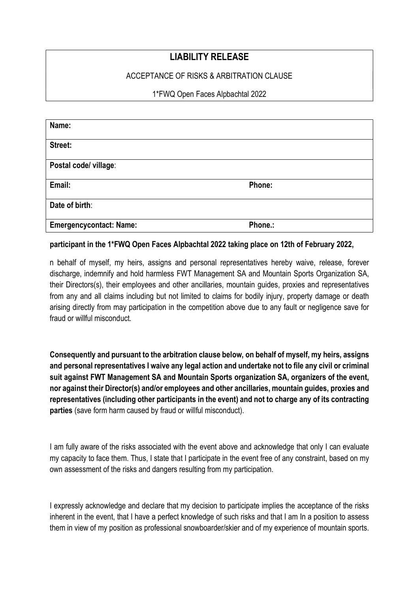# LIABILITY RELEASE

## ACCEPTANCE OF RISKS & ARBITRATION CLAUSE

#### 1\*FWQ Open Faces Alpbachtal 2022

| Name:                          |         |
|--------------------------------|---------|
| Street:                        |         |
| Postal code/ village:          |         |
| Email:                         | Phone:  |
| Date of birth:                 |         |
| <b>Emergencycontact: Name:</b> | Phone.: |

#### participant in the 1\*FWQ Open Faces Alpbachtal 2022 taking place on 12th of February 2022,

n behalf of myself, my heirs, assigns and personal representatives hereby waive, release, forever discharge, indemnify and hold harmless FWT Management SA and Mountain Sports Organization SA, their Directors(s), their employees and other ancillaries, mountain guides, proxies and representatives from any and all claims including but not limited to claims for bodily injury, property damage or death arising directly from may participation in the competition above due to any fault or negligence save for fraud or willful misconduct.

Consequently and pursuant to the arbitration clause below, on behalf of myself, my heirs, assigns and personal representatives I waive any legal action and undertake not to file any civil or criminal suit against FWT Management SA and Mountain Sports organization SA, organizers of the event, nor against their Director(s) and/or employees and other ancillaries, mountain guides, proxies and representatives (including other participants in the event) and not to charge any of its contracting parties (save form harm caused by fraud or willful misconduct).

I am fully aware of the risks associated with the event above and acknowledge that only I can evaluate my capacity to face them. Thus, I state that I participate in the event free of any constraint, based on my own assessment of the risks and dangers resulting from my participation.

I expressly acknowledge and declare that my decision to participate implies the acceptance of the risks inherent in the event, that I have a perfect knowledge of such risks and that I am In a position to assess them in view of my position as professional snowboarder/skier and of my experience of mountain sports.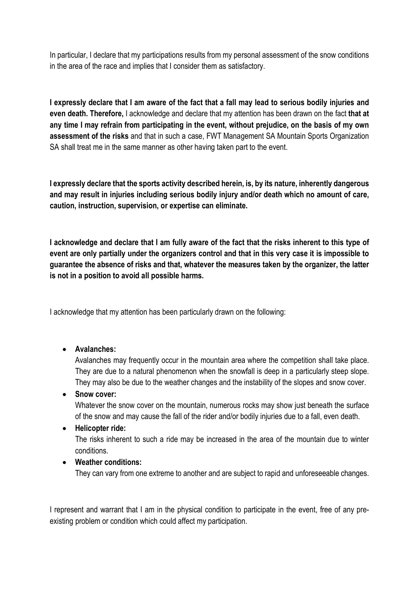In particular, I declare that my participations results from my personal assessment of the snow conditions in the area of the race and implies that I consider them as satisfactory.

I expressly declare that I am aware of the fact that a fall may lead to serious bodily injuries and even death. Therefore, I acknowledge and declare that my attention has been drawn on the fact that at any time I may refrain from participating in the event, without prejudice, on the basis of my own assessment of the risks and that in such a case, FWT Management SA Mountain Sports Organization SA shall treat me in the same manner as other having taken part to the event.

I expressly declare that the sports activity described herein, is, by its nature, inherently dangerous and may result in injuries including serious bodily injury and/or death which no amount of care, caution, instruction, supervision, or expertise can eliminate.

I acknowledge and declare that I am fully aware of the fact that the risks inherent to this type of event are only partially under the organizers control and that in this very case it is impossible to guarantee the absence of risks and that, whatever the measures taken by the organizer, the latter is not in a position to avoid all possible harms.

I acknowledge that my attention has been particularly drawn on the following:

Avalanches:

Avalanches may frequently occur in the mountain area where the competition shall take place. They are due to a natural phenomenon when the snowfall is deep in a particularly steep slope. They may also be due to the weather changes and the instability of the slopes and snow cover.

# • Snow cover:

Whatever the snow cover on the mountain, numerous rocks may show just beneath the surface of the snow and may cause the fall of the rider and/or bodily injuries due to a fall, even death.

# • Helicopter ride:

The risks inherent to such a ride may be increased in the area of the mountain due to winter conditions.

Weather conditions:

They can vary from one extreme to another and are subject to rapid and unforeseeable changes.

I represent and warrant that I am in the physical condition to participate in the event, free of any preexisting problem or condition which could affect my participation.